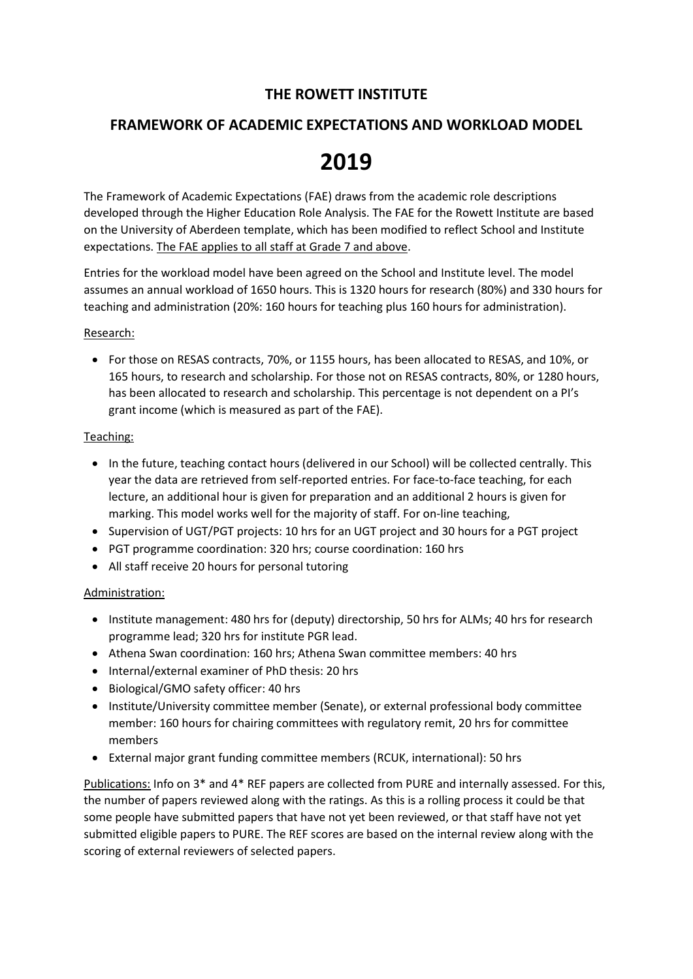## **THE ROWETT INSTITUTE**

## **FRAMEWORK OF ACADEMIC EXPECTATIONS AND WORKLOAD MODEL**

# **2019**

The Framework of Academic Expectations (FAE) draws from the academic role descriptions developed through the Higher Education Role Analysis. The FAE for the Rowett Institute are based on the University of Aberdeen template, which has been modified to reflect School and Institute expectations. The FAE applies to all staff at Grade 7 and above.

Entries for the workload model have been agreed on the School and Institute level. The model assumes an annual workload of 1650 hours. This is 1320 hours for research (80%) and 330 hours for teaching and administration (20%: 160 hours for teaching plus 160 hours for administration).

#### Research:

• For those on RESAS contracts, 70%, or 1155 hours, has been allocated to RESAS, and 10%, or 165 hours, to research and scholarship. For those not on RESAS contracts, 80%, or 1280 hours, has been allocated to research and scholarship. This percentage is not dependent on a PI's grant income (which is measured as part of the FAE).

#### Teaching:

- In the future, teaching contact hours (delivered in our School) will be collected centrally. This year the data are retrieved from self-reported entries. For face-to-face teaching, for each lecture, an additional hour is given for preparation and an additional 2 hours is given for marking. This model works well for the majority of staff. For on-line teaching,
- Supervision of UGT/PGT projects: 10 hrs for an UGT project and 30 hours for a PGT project
- PGT programme coordination: 320 hrs; course coordination: 160 hrs
- All staff receive 20 hours for personal tutoring

#### Administration:

- Institute management: 480 hrs for (deputy) directorship, 50 hrs for ALMs; 40 hrs for research programme lead; 320 hrs for institute PGR lead.
- Athena Swan coordination: 160 hrs; Athena Swan committee members: 40 hrs
- Internal/external examiner of PhD thesis: 20 hrs
- Biological/GMO safety officer: 40 hrs
- Institute/University committee member (Senate), or external professional body committee member: 160 hours for chairing committees with regulatory remit, 20 hrs for committee members
- External major grant funding committee members (RCUK, international): 50 hrs

Publications: Info on 3\* and 4\* REF papers are collected from PURE and internally assessed. For this, the number of papers reviewed along with the ratings. As this is a rolling process it could be that some people have submitted papers that have not yet been reviewed, or that staff have not yet submitted eligible papers to PURE. The REF scores are based on the internal review along with the scoring of external reviewers of selected papers.